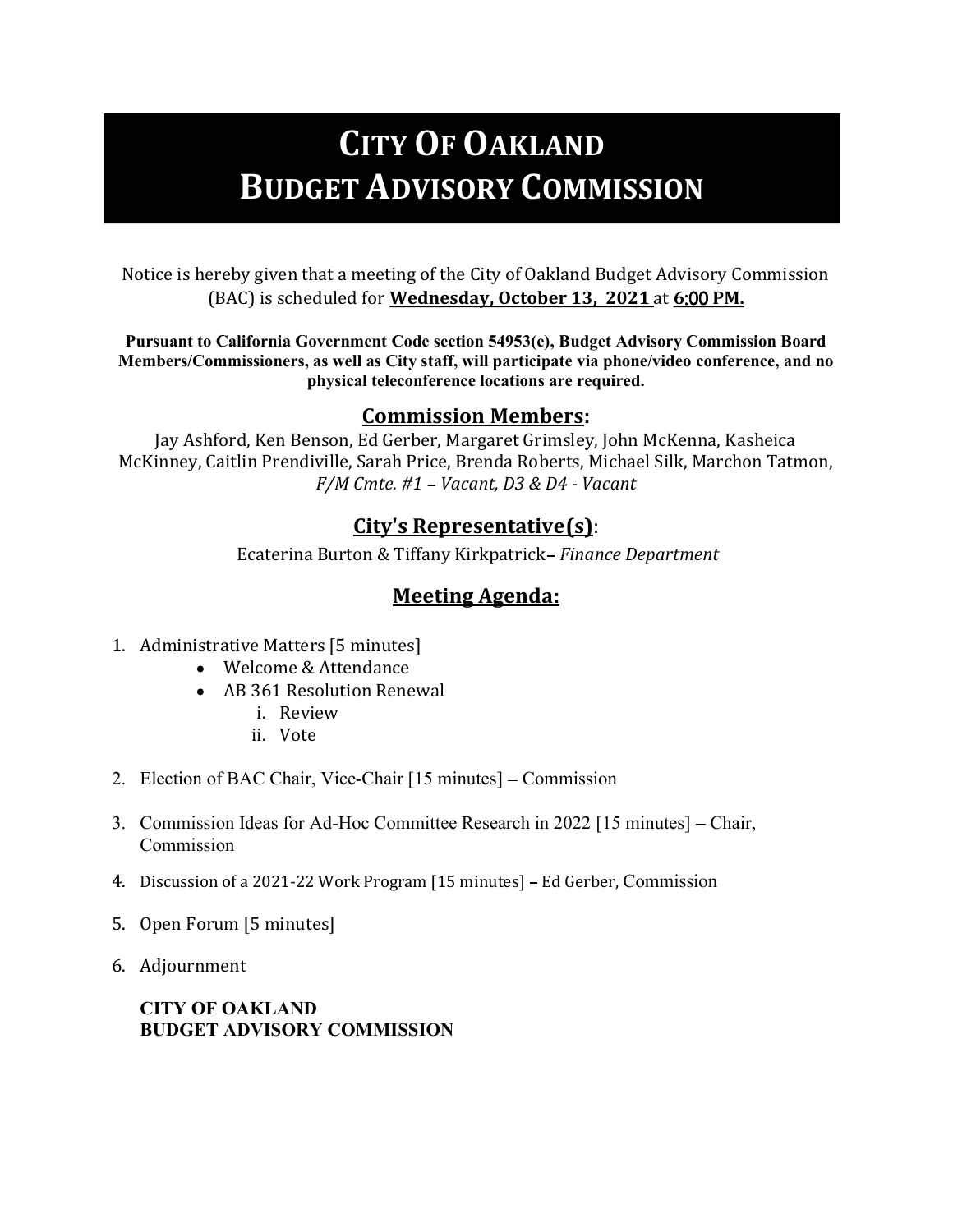# CITY OF OAKLAND BUDGET ADVISORY COMMISSION

Notice is hereby given that a meeting of the City of Oakland Budget Advisory Commission (BAC) is scheduled for **Wednesday, October 13, 2021** at 6:00 PM.

Pursuant to California Government Code section 54953(e), Budget Advisory Commission Board Members/Commissioners, as well as City staff, will participate via phone/video conference, and no physical teleconference locations are required.

#### Commission Members:

Jay Ashford, Ken Benson, Ed Gerber, Margaret Grimsley, John McKenna, Kasheica McKinney, Caitlin Prendiville, Sarah Price, Brenda Roberts, Michael Silk, Marchon Tatmon,  $F/M$  Cmte. #1 - Vacant, D3 & D4 - Vacant

#### City's Representative(s):

Ecaterina Burton & Tiffany Kirkpatrick-Finance Department

#### Meeting Agenda:

- 1. Administrative Matters [5 minutes]
	- Welcome & Attendance
	- AB 361 Resolution Renewal
		- i. Review
		- ii. Vote
- 2. Election of BAC Chair, Vice-Chair [15 minutes] Commission
- 3. Commission Ideas for Ad-Hoc Committee Research in 2022 [15 minutes] Chair, Commission
- 4. Discussion of a 2021-22 Work Program [15 minutes] Ed Gerber, Commission
- 5. Open Forum [5 minutes]
- 6. Adjournment

#### CITY OF OAKLAND BUDGET ADVISORY COMMISSION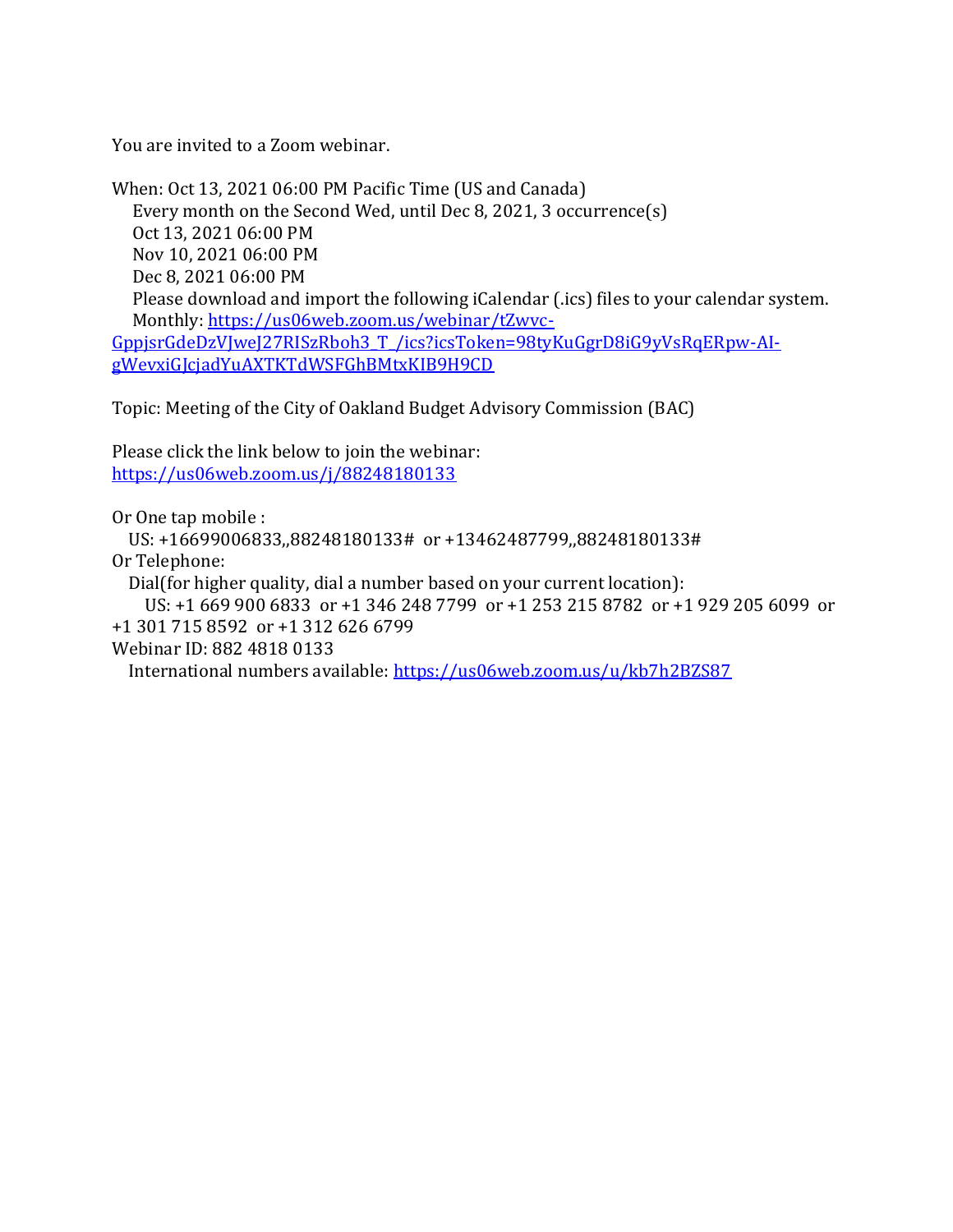You are invited to a Zoom webinar.

When: Oct 13, 2021 06:00 PM Pacific Time (US and Canada) Every month on the Second Wed, until Dec 8, 2021, 3 occurrence(s) Oct 13, 2021 06:00 PM Nov 10, 2021 06:00 PM Dec 8, 2021 06:00 PM Please download and import the following iCalendar (.ics) files to your calendar system. Monthly: https://us06web.zoom.us/webinar/tZwvc-GppjsrGdeDzVJweJ27RISzRboh3\_T\_/ics?icsToken=98tyKuGgrD8iG9yVsRqERpw-AIgWevxiGJcjadYuAXTKTdWSFGhBMtxKIB9H9CD

Topic: Meeting of the City of Oakland Budget Advisory Commission (BAC)

Please click the link below to join the webinar: https://us06web.zoom.us/j/88248180133

Or One tap mobile :

 US: +16699006833,,88248180133# or +13462487799,,88248180133# Or Telephone:

Dial(for higher quality, dial a number based on your current location):

 US: +1 669 900 6833 or +1 346 248 7799 or +1 253 215 8782 or +1 929 205 6099 or +1 301 715 8592 or +1 312 626 6799

Webinar ID: 882 4818 0133

International numbers available: https://us06web.zoom.us/u/kb7h2BZS87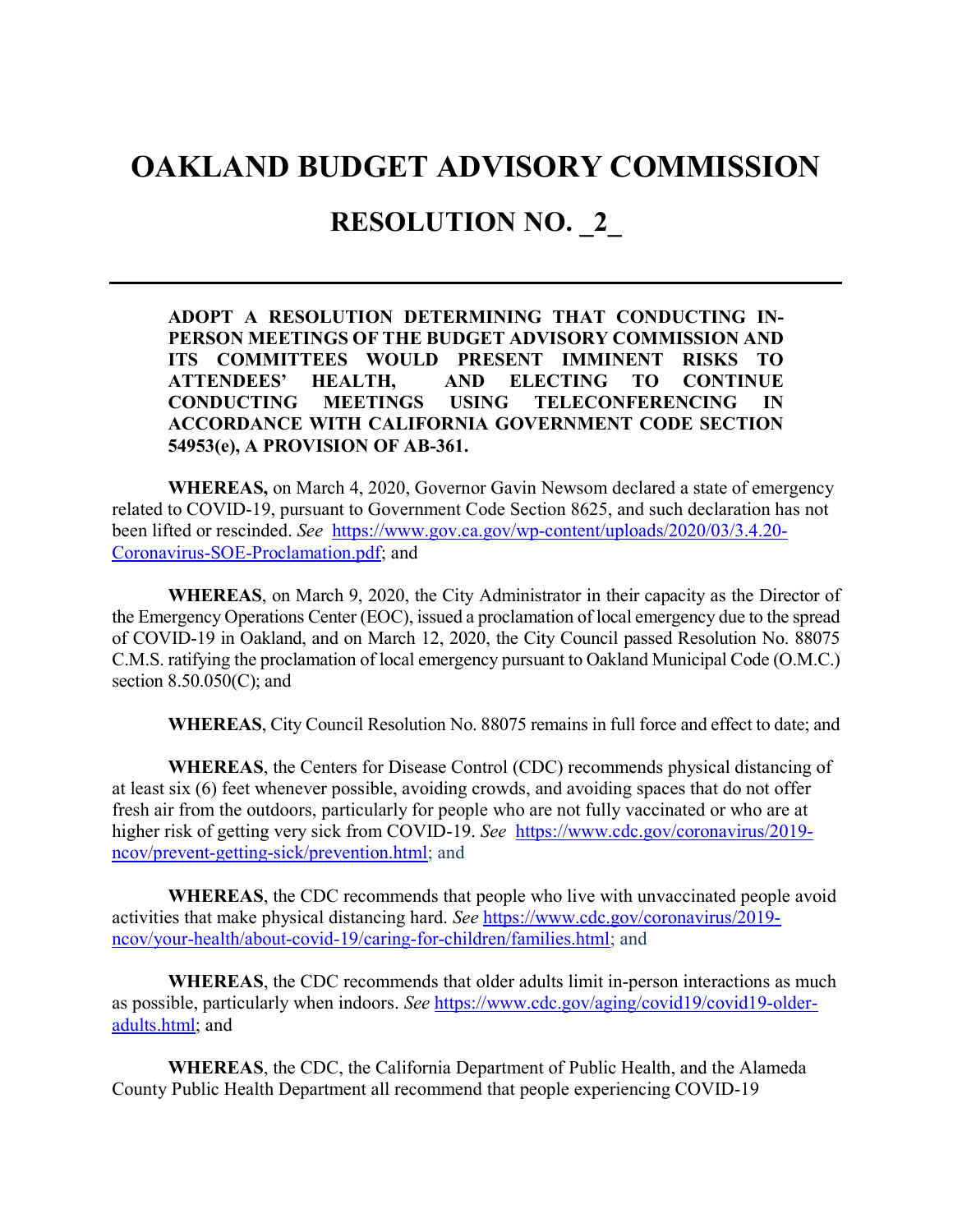## OAKLAND BUDGET ADVISORY COMMISSION

### RESOLUTION NO. 2

ADOPT A RESOLUTION DETERMINING THAT CONDUCTING IN-PERSON MEETINGS OF THE BUDGET ADVISORY COMMISSION AND ITS COMMITTEES WOULD PRESENT IMMINENT RISKS TO ATTENDEES' HEALTH, AND ELECTING TO CONTINUE CONDUCTING MEETINGS USING TELECONFERENCING IN ACCORDANCE WITH CALIFORNIA GOVERNMENT CODE SECTION 54953(e), A PROVISION OF AB-361.

WHEREAS, on March 4, 2020, Governor Gavin Newsom declared a state of emergency related to COVID-19, pursuant to Government Code Section 8625, and such declaration has not been lifted or rescinded. See https://www.gov.ca.gov/wp-content/uploads/2020/03/3.4.20- Coronavirus-SOE-Proclamation.pdf; and

WHEREAS, on March 9, 2020, the City Administrator in their capacity as the Director of the Emergency Operations Center (EOC), issued a proclamation of local emergency due to the spread of COVID-19 in Oakland, and on March 12, 2020, the City Council passed Resolution No. 88075 C.M.S. ratifying the proclamation of local emergency pursuant to Oakland Municipal Code (O.M.C.) section  $8.50.050(C)$ ; and

WHEREAS, City Council Resolution No. 88075 remains in full force and effect to date; and

WHEREAS, the Centers for Disease Control (CDC) recommends physical distancing of at least six (6) feet whenever possible, avoiding crowds, and avoiding spaces that do not offer fresh air from the outdoors, particularly for people who are not fully vaccinated or who are at higher risk of getting very sick from COVID-19. See https://www.cdc.gov/coronavirus/2019 ncov/prevent-getting-sick/prevention.html; and

WHEREAS, the CDC recommends that people who live with unvaccinated people avoid activities that make physical distancing hard. See https://www.cdc.gov/coronavirus/2019 ncov/your-health/about-covid-19/caring-for-children/families.html; and

WHEREAS, the CDC recommends that older adults limit in-person interactions as much as possible, particularly when indoors. See https://www.cdc.gov/aging/covid19/covid19-olderadults.html; and

WHEREAS, the CDC, the California Department of Public Health, and the Alameda County Public Health Department all recommend that people experiencing COVID-19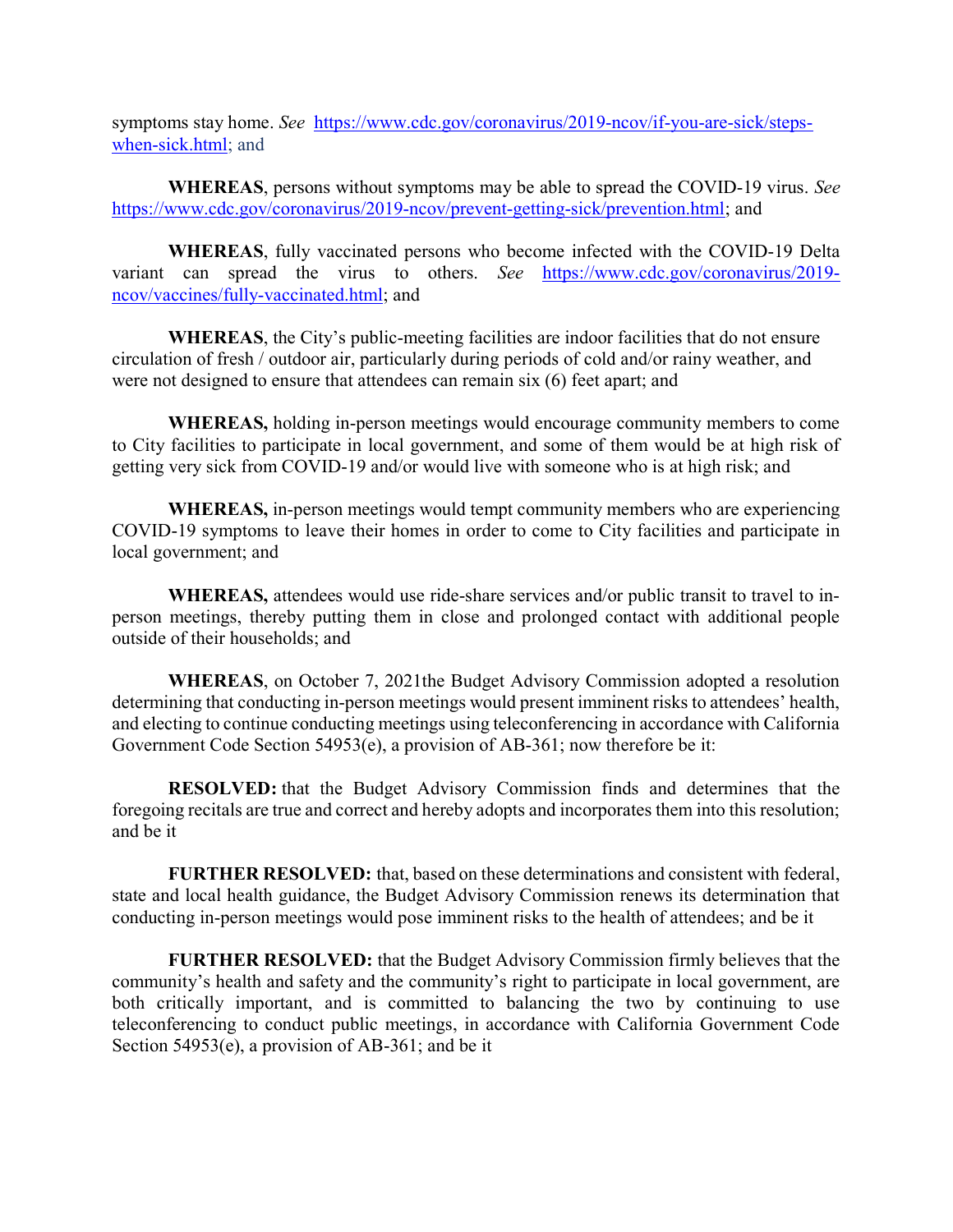symptoms stay home. See https://www.cdc.gov/coronavirus/2019-ncov/if-you-are-sick/stepswhen-sick.html; and

WHEREAS, persons without symptoms may be able to spread the COVID-19 virus. See https://www.cdc.gov/coronavirus/2019-ncov/prevent-getting-sick/prevention.html; and

WHEREAS, fully vaccinated persons who become infected with the COVID-19 Delta variant can spread the virus to others. See https://www.cdc.gov/coronavirus/2019 ncov/vaccines/fully-vaccinated.html; and

WHEREAS, the City's public-meeting facilities are indoor facilities that do not ensure circulation of fresh / outdoor air, particularly during periods of cold and/or rainy weather, and were not designed to ensure that attendees can remain six (6) feet apart; and

WHEREAS, holding in-person meetings would encourage community members to come to City facilities to participate in local government, and some of them would be at high risk of getting very sick from COVID-19 and/or would live with someone who is at high risk; and

WHEREAS, in-person meetings would tempt community members who are experiencing COVID-19 symptoms to leave their homes in order to come to City facilities and participate in local government; and

WHEREAS, attendees would use ride-share services and/or public transit to travel to inperson meetings, thereby putting them in close and prolonged contact with additional people outside of their households; and

WHEREAS, on October 7, 2021the Budget Advisory Commission adopted a resolution determining that conducting in-person meetings would present imminent risks to attendees' health, and electing to continue conducting meetings using teleconferencing in accordance with California Government Code Section 54953(e), a provision of AB-361; now therefore be it:

RESOLVED: that the Budget Advisory Commission finds and determines that the foregoing recitals are true and correct and hereby adopts and incorporates them into this resolution; and be it

FURTHER RESOLVED: that, based on these determinations and consistent with federal, state and local health guidance, the Budget Advisory Commission renews its determination that conducting in-person meetings would pose imminent risks to the health of attendees; and be it

FURTHER RESOLVED: that the Budget Advisory Commission firmly believes that the community's health and safety and the community's right to participate in local government, are both critically important, and is committed to balancing the two by continuing to use teleconferencing to conduct public meetings, in accordance with California Government Code Section 54953(e), a provision of AB-361; and be it